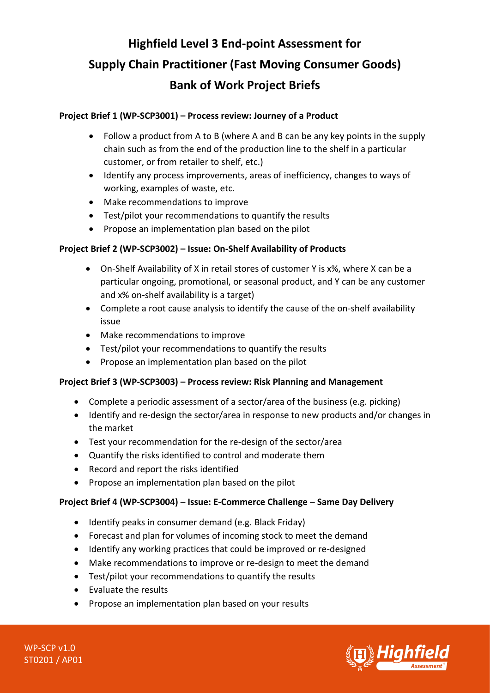# **Highfield Level 3 End-point Assessment for Supply Chain Practitioner (Fast Moving Consumer Goods) Bank of Work Project Briefs**

# **Project Brief 1 (WP-SCP3001) – Process review: Journey of a Product**

- Follow a product from A to B (where A and B can be any key points in the supply chain such as from the end of the production line to the shelf in a particular customer, or from retailer to shelf, etc.)
- Identify any process improvements, areas of inefficiency, changes to ways of working, examples of waste, etc.
- Make recommendations to improve
- Test/pilot your recommendations to quantify the results
- Propose an implementation plan based on the pilot

## **Project Brief 2 (WP-SCP3002) – Issue: On-Shelf Availability of Products**

- On-Shelf Availability of X in retail stores of customer Y is x%, where X can be a particular ongoing, promotional, or seasonal product, and Y can be any customer and x% on-shelf availability is a target)
- Complete a root cause analysis to identify the cause of the on-shelf availability issue
- Make recommendations to improve
- Test/pilot your recommendations to quantify the results
- Propose an implementation plan based on the pilot

## **Project Brief 3 (WP-SCP3003) – Process review: Risk Planning and Management**

- Complete a periodic assessment of a sector/area of the business (e.g. picking)
- Identify and re-design the sector/area in response to new products and/or changes in the market
- Test your recommendation for the re-design of the sector/area
- Quantify the risks identified to control and moderate them
- Record and report the risks identified
- Propose an implementation plan based on the pilot

## **Project Brief 4 (WP-SCP3004) – Issue: E-Commerce Challenge – Same Day Delivery**

- Identify peaks in consumer demand (e.g. Black Friday)
- Forecast and plan for volumes of incoming stock to meet the demand
- Identify any working practices that could be improved or re-designed
- Make recommendations to improve or re-design to meet the demand
- Test/pilot your recommendations to quantify the results
- Evaluate the results
- Propose an implementation plan based on your results



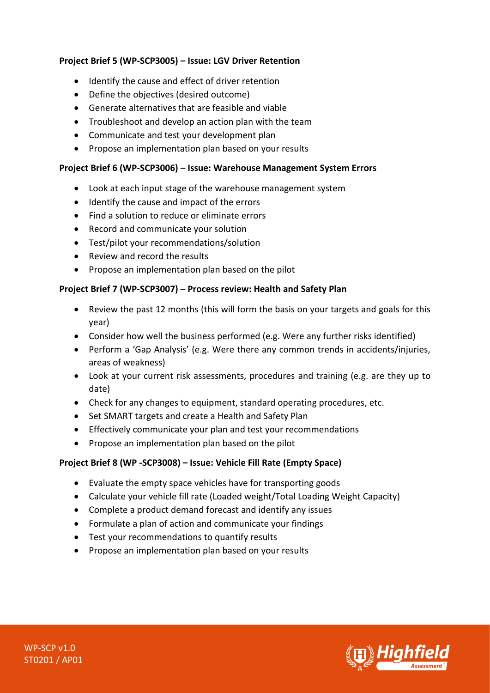# **Project Brief 5 (WP-SCP3005) – Issue: LGV Driver Retention**

- Identify the cause and effect of driver retention
- Define the objectives (desired outcome)
- Generate alternatives that are feasible and viable
- Troubleshoot and develop an action plan with the team
- Communicate and test your development plan
- Propose an implementation plan based on your results

#### **Project Brief 6 (WP-SCP3006) – Issue: Warehouse Management System Errors**

- Look at each input stage of the warehouse management system
- Identify the cause and impact of the errors
- Find a solution to reduce or eliminate errors
- Record and communicate your solution
- Test/pilot your recommendations/solution
- Review and record the results
- Propose an implementation plan based on the pilot

## **Project Brief 7 (WP-SCP3007) – Process review: Health and Safety Plan**

- Review the past 12 months (this will form the basis on your targets and goals for this year)
- Consider how well the business performed (e.g. Were any further risks identified)
- Perform a 'Gap Analysis' (e.g. Were there any common trends in accidents/injuries, areas of weakness)
- Look at your current risk assessments, procedures and training (e.g. are they up to date)
- Check for any changes to equipment, standard operating procedures, etc.
- Set SMART targets and create a Health and Safety Plan
- Effectively communicate your plan and test your recommendations
- Propose an implementation plan based on the pilot

## **Project Brief 8 (WP -SCP3008) – Issue: Vehicle Fill Rate (Empty Space)**

- Evaluate the empty space vehicles have for transporting goods
- Calculate your vehicle fill rate (Loaded weight/Total Loading Weight Capacity)
- Complete a product demand forecast and identify any issues
- Formulate a plan of action and communicate your findings
- Test your recommendations to quantify results
- Propose an implementation plan based on your results

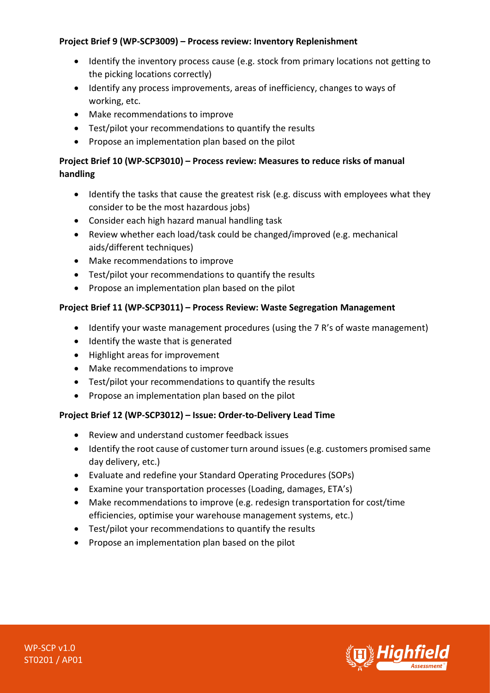# **Project Brief 9 (WP-SCP3009) – Process review: Inventory Replenishment**

- Identify the inventory process cause (e.g. stock from primary locations not getting to the picking locations correctly)
- Identify any process improvements, areas of inefficiency, changes to ways of working, etc.
- Make recommendations to improve
- Test/pilot your recommendations to quantify the results
- Propose an implementation plan based on the pilot

# **Project Brief 10 (WP-SCP3010) – Process review: Measures to reduce risks of manual handling**

- Identify the tasks that cause the greatest risk (e.g. discuss with employees what they consider to be the most hazardous jobs)
- Consider each high hazard manual handling task
- Review whether each load/task could be changed/improved (e.g. mechanical aids/different techniques)
- Make recommendations to improve
- Test/pilot your recommendations to quantify the results
- Propose an implementation plan based on the pilot

# **Project Brief 11 (WP-SCP3011) – Process Review: Waste Segregation Management**

- Identify your waste management procedures (using the 7 R's of waste management)
- Identify the waste that is generated
- Highlight areas for improvement
- Make recommendations to improve
- Test/pilot your recommendations to quantify the results
- Propose an implementation plan based on the pilot

# **Project Brief 12 (WP-SCP3012) – Issue: Order-to-Delivery Lead Time**

- Review and understand customer feedback issues
- Identify the root cause of customer turn around issues (e.g. customers promised same day delivery, etc.)
- Evaluate and redefine your Standard Operating Procedures (SOPs)
- Examine your transportation processes (Loading, damages, ETA's)
- Make recommendations to improve (e.g. redesign transportation for cost/time efficiencies, optimise your warehouse management systems, etc.)
- Test/pilot your recommendations to quantify the results
- Propose an implementation plan based on the pilot

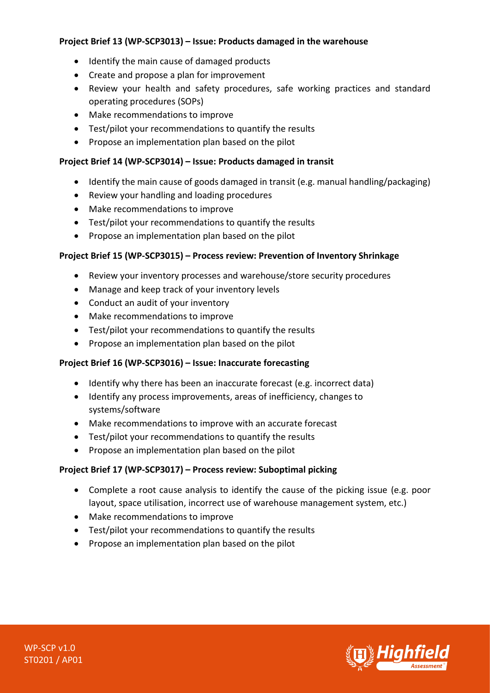## **Project Brief 13 (WP-SCP3013) – Issue: Products damaged in the warehouse**

- Identify the main cause of damaged products
- Create and propose a plan for improvement
- Review your health and safety procedures, safe working practices and standard operating procedures (SOPs)
- Make recommendations to improve
- Test/pilot your recommendations to quantify the results
- Propose an implementation plan based on the pilot

## **Project Brief 14 (WP-SCP3014) – Issue: Products damaged in transit**

- Identify the main cause of goods damaged in transit (e.g. manual handling/packaging)
- Review your handling and loading procedures
- Make recommendations to improve
- Test/pilot your recommendations to quantify the results
- Propose an implementation plan based on the pilot

## **Project Brief 15 (WP-SCP3015) – Process review: Prevention of Inventory Shrinkage**

- Review your inventory processes and warehouse/store security procedures
- Manage and keep track of your inventory levels
- Conduct an audit of your inventory
- Make recommendations to improve
- Test/pilot your recommendations to quantify the results
- Propose an implementation plan based on the pilot

## **Project Brief 16 (WP-SCP3016) – Issue: Inaccurate forecasting**

- Identify why there has been an inaccurate forecast (e.g. incorrect data)
- Identify any process improvements, areas of inefficiency, changes to systems/software
- Make recommendations to improve with an accurate forecast
- Test/pilot your recommendations to quantify the results
- Propose an implementation plan based on the pilot

## **Project Brief 17 (WP-SCP3017) – Process review: Suboptimal picking**

- Complete a root cause analysis to identify the cause of the picking issue (e.g. poor layout, space utilisation, incorrect use of warehouse management system, etc.)
- Make recommendations to improve
- Test/pilot your recommendations to quantify the results
- Propose an implementation plan based on the pilot